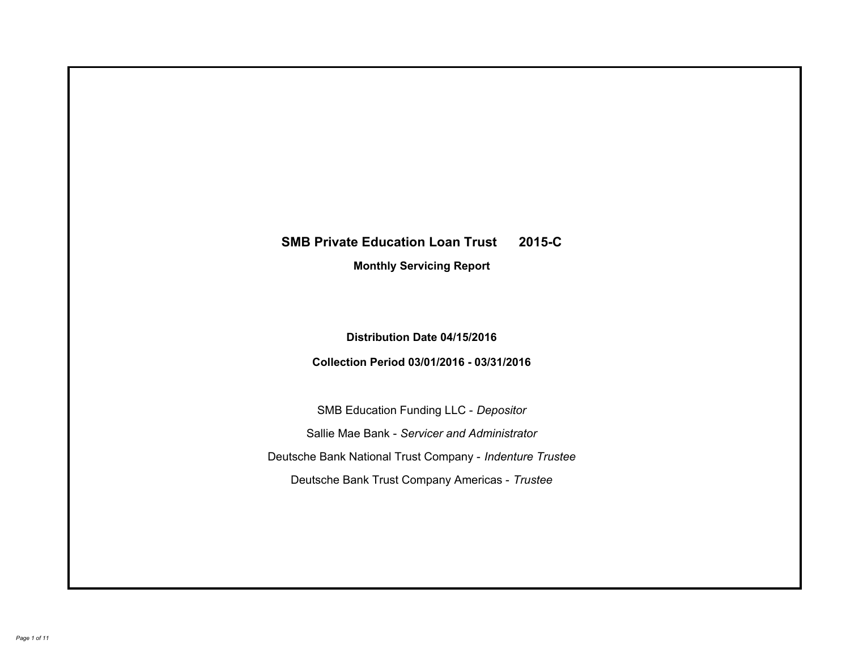# **SMB Private Education Loan Trust 2015-C Monthly Servicing Report**

## **Distribution Date 04/15/2016**

## **Collection Period 03/01/2016 - 03/31/2016**

SMB Education Funding LLC - *Depositor* Sallie Mae Bank - *Servicer and Administrator* Deutsche Bank National Trust Company - *Indenture Trustee* Deutsche Bank Trust Company Americas - *Trustee*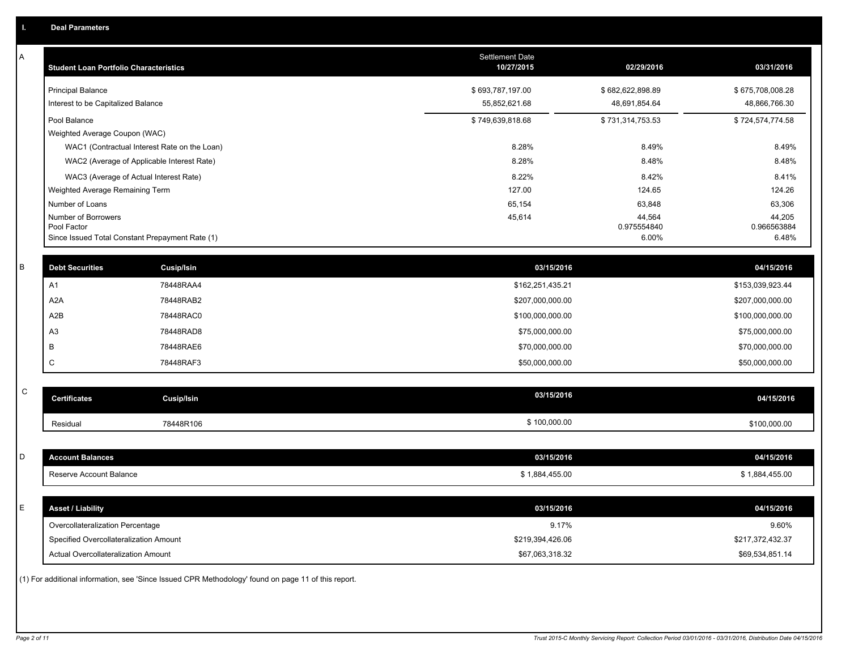| Α           | <b>Student Loan Portfolio Characteristics</b>   |                                                                                                     | <b>Settlement Date</b><br>10/27/2015 | 02/29/2016            | 03/31/2016            |
|-------------|-------------------------------------------------|-----------------------------------------------------------------------------------------------------|--------------------------------------|-----------------------|-----------------------|
|             | <b>Principal Balance</b>                        |                                                                                                     | \$693,787,197.00                     | \$682,622,898.89      | \$675,708,008.28      |
|             | Interest to be Capitalized Balance              |                                                                                                     | 55,852,621.68                        | 48,691,854.64         | 48,866,766.30         |
|             | Pool Balance                                    |                                                                                                     | \$749,639,818.68                     | \$731,314,753.53      | \$724,574,774.58      |
|             | Weighted Average Coupon (WAC)                   |                                                                                                     |                                      |                       |                       |
|             |                                                 | WAC1 (Contractual Interest Rate on the Loan)                                                        | 8.28%                                | 8.49%                 | 8.49%                 |
|             |                                                 | WAC2 (Average of Applicable Interest Rate)                                                          | 8.28%                                | 8.48%                 | 8.48%                 |
|             |                                                 | WAC3 (Average of Actual Interest Rate)                                                              | 8.22%                                | 8.42%                 | 8.41%                 |
|             | Weighted Average Remaining Term                 |                                                                                                     | 127.00                               | 124.65                | 124.26                |
|             | Number of Loans                                 |                                                                                                     | 65,154                               | 63,848                | 63,306                |
|             | Number of Borrowers<br>Pool Factor              |                                                                                                     | 45,614                               | 44,564<br>0.975554840 | 44.205<br>0.966563884 |
|             | Since Issued Total Constant Prepayment Rate (1) |                                                                                                     |                                      | 6.00%                 | 6.48%                 |
|             |                                                 |                                                                                                     |                                      |                       |                       |
| B           | <b>Debt Securities</b>                          | <b>Cusip/Isin</b>                                                                                   | 03/15/2016                           |                       | 04/15/2016            |
|             | A1                                              | 78448RAA4                                                                                           | \$162,251,435.21                     |                       | \$153,039,923.44      |
|             | A <sub>2</sub> A                                | 78448RAB2                                                                                           | \$207,000,000.00                     |                       | \$207,000,000.00      |
|             | A2B                                             | 78448RAC0                                                                                           | \$100,000,000.00                     |                       | \$100,000,000.00      |
|             | A <sub>3</sub>                                  | 78448RAD8                                                                                           | \$75,000,000.00                      |                       | \$75,000,000.00       |
|             | B                                               | 78448RAE6                                                                                           | \$70,000,000.00                      |                       | \$70,000,000.00       |
|             | C                                               | 78448RAF3                                                                                           | \$50,000,000.00                      |                       | \$50,000,000.00       |
|             |                                                 |                                                                                                     |                                      |                       |                       |
| $\mathsf C$ | <b>Certificates</b>                             | <b>Cusip/Isin</b>                                                                                   | 03/15/2016                           |                       | 04/15/2016            |
|             | Residual                                        | 78448R106                                                                                           | \$100,000.00                         |                       | \$100,000.00          |
|             |                                                 |                                                                                                     |                                      |                       |                       |
| D           | <b>Account Balances</b>                         |                                                                                                     | 03/15/2016                           |                       | 04/15/2016            |
|             | Reserve Account Balance                         |                                                                                                     | \$1,884,455.00                       |                       | \$1,884,455.00        |
|             |                                                 |                                                                                                     |                                      |                       |                       |
| E           | <b>Asset / Liability</b>                        |                                                                                                     | 03/15/2016                           |                       | 04/15/2016            |
|             | Overcollateralization Percentage                |                                                                                                     | 9.17%                                |                       | 9.60%                 |
|             | Specified Overcollateralization Amount          |                                                                                                     | \$219,394,426.06                     |                       | \$217,372,432.37      |
|             | Actual Overcollateralization Amount             |                                                                                                     | \$67,063,318.32                      |                       | \$69,534,851.14       |
|             |                                                 | (1) For additional information, see 'Since Issued CPR Methodology' found on page 11 of this report. |                                      |                       |                       |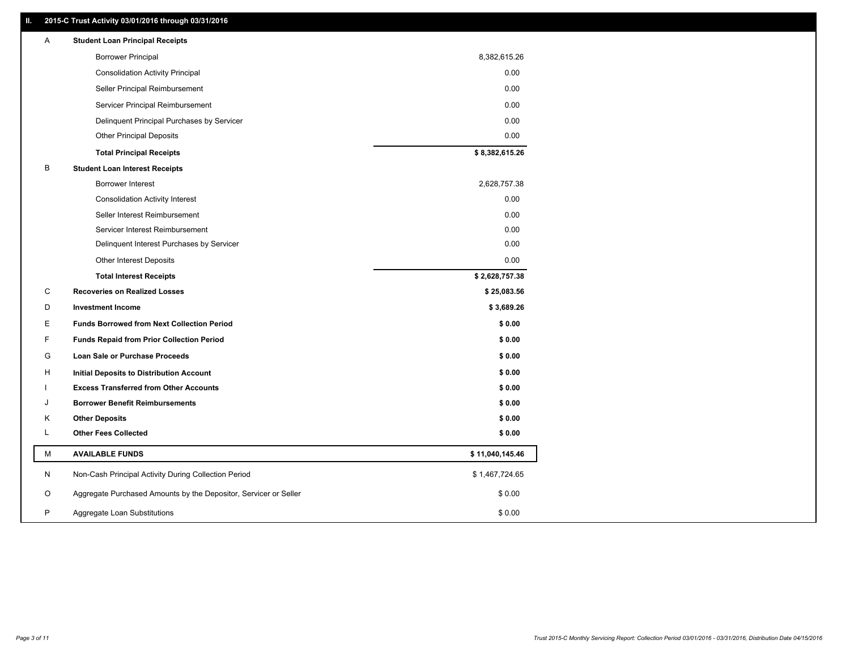### **II. 2015-C Trust Activity 03/01/2016 through 03/31/2016**

| Α | <b>Student Loan Principal Receipts</b>                           |                 |  |
|---|------------------------------------------------------------------|-----------------|--|
|   | <b>Borrower Principal</b>                                        | 8,382,615.26    |  |
|   | <b>Consolidation Activity Principal</b>                          | 0.00            |  |
|   | Seller Principal Reimbursement                                   | 0.00            |  |
|   | Servicer Principal Reimbursement                                 | 0.00            |  |
|   | Delinquent Principal Purchases by Servicer                       | 0.00            |  |
|   | <b>Other Principal Deposits</b>                                  | 0.00            |  |
|   | <b>Total Principal Receipts</b>                                  | \$8,382,615.26  |  |
| B | <b>Student Loan Interest Receipts</b>                            |                 |  |
|   | Borrower Interest                                                | 2,628,757.38    |  |
|   | <b>Consolidation Activity Interest</b>                           | 0.00            |  |
|   | Seller Interest Reimbursement                                    | 0.00            |  |
|   | Servicer Interest Reimbursement                                  | 0.00            |  |
|   | Delinquent Interest Purchases by Servicer                        | 0.00            |  |
|   | <b>Other Interest Deposits</b>                                   | 0.00            |  |
|   | <b>Total Interest Receipts</b>                                   | \$2,628,757.38  |  |
| C | <b>Recoveries on Realized Losses</b>                             | \$25,083.56     |  |
| D | <b>Investment Income</b>                                         | \$3,689.26      |  |
| Ε | <b>Funds Borrowed from Next Collection Period</b>                | \$0.00          |  |
| F | <b>Funds Repaid from Prior Collection Period</b>                 | \$0.00          |  |
| G | Loan Sale or Purchase Proceeds                                   | \$0.00          |  |
| H | Initial Deposits to Distribution Account                         | \$0.00          |  |
|   | <b>Excess Transferred from Other Accounts</b>                    | \$0.00          |  |
| J | <b>Borrower Benefit Reimbursements</b>                           | \$0.00          |  |
| Κ | <b>Other Deposits</b>                                            | \$0.00          |  |
| L | <b>Other Fees Collected</b>                                      | \$0.00          |  |
| М | <b>AVAILABLE FUNDS</b>                                           | \$11,040,145.46 |  |
| N | Non-Cash Principal Activity During Collection Period             | \$1,467,724.65  |  |
| O | Aggregate Purchased Amounts by the Depositor, Servicer or Seller | \$0.00          |  |
| P | Aggregate Loan Substitutions                                     | \$0.00          |  |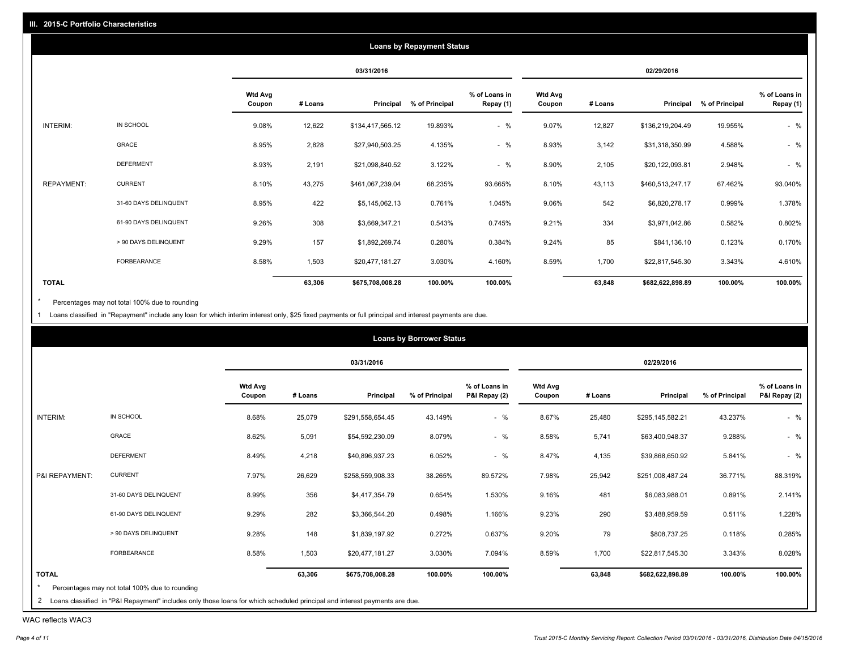|                   |                       |                          |         |                  | <b>Loans by Repayment Status</b> |                            |                          |         |                  |                |                            |
|-------------------|-----------------------|--------------------------|---------|------------------|----------------------------------|----------------------------|--------------------------|---------|------------------|----------------|----------------------------|
|                   |                       |                          |         | 03/31/2016       |                                  |                            |                          |         | 02/29/2016       |                |                            |
|                   |                       | <b>Wtd Avg</b><br>Coupon | # Loans | Principal        | % of Principal                   | % of Loans in<br>Repay (1) | <b>Wtd Avg</b><br>Coupon | # Loans | Principal        | % of Principal | % of Loans in<br>Repay (1) |
| INTERIM:          | IN SCHOOL             | 9.08%                    | 12,622  | \$134,417,565.12 | 19.893%                          | $-$ %                      | 9.07%                    | 12,827  | \$136,219,204.49 | 19.955%        | $-$ %                      |
|                   | GRACE                 | 8.95%                    | 2,828   | \$27,940,503.25  | 4.135%                           | $-$ %                      | 8.93%                    | 3,142   | \$31,318,350.99  | 4.588%         | $-$ %                      |
|                   | <b>DEFERMENT</b>      | 8.93%                    | 2,191   | \$21,098,840.52  | 3.122%                           | $-$ %                      | 8.90%                    | 2,105   | \$20,122,093.81  | 2.948%         | $-$ %                      |
| <b>REPAYMENT:</b> | <b>CURRENT</b>        | 8.10%                    | 43,275  | \$461,067,239.04 | 68.235%                          | 93.665%                    | 8.10%                    | 43,113  | \$460,513,247.17 | 67.462%        | 93.040%                    |
|                   | 31-60 DAYS DELINQUENT | 8.95%                    | 422     | \$5,145,062.13   | 0.761%                           | 1.045%                     | 9.06%                    | 542     | \$6,820,278.17   | 0.999%         | 1.378%                     |
|                   | 61-90 DAYS DELINQUENT | 9.26%                    | 308     | \$3,669,347.21   | 0.543%                           | 0.745%                     | 9.21%                    | 334     | \$3,971,042.86   | 0.582%         | 0.802%                     |
|                   | > 90 DAYS DELINQUENT  | 9.29%                    | 157     | \$1,892,269.74   | 0.280%                           | 0.384%                     | 9.24%                    | 85      | \$841,136.10     | 0.123%         | 0.170%                     |
|                   | <b>FORBEARANCE</b>    | 8.58%                    | 1,503   | \$20,477,181.27  | 3.030%                           | 4.160%                     | 8.59%                    | 1,700   | \$22,817,545.30  | 3.343%         | 4.610%                     |
| <b>TOTAL</b>      |                       |                          | 63,306  | \$675,708,008.28 | 100.00%                          | 100.00%                    |                          | 63,848  | \$682,622,898.89 | 100.00%        | 100.00%                    |

Percentages may not total 100% due to rounding  $^\star$ 

1 Loans classified in "Repayment" include any loan for which interim interest only, \$25 fixed payments or full principal and interest payments are due.

|                 |                                                                                                                              |                          |         |                  | <b>Loans by Borrower Status</b> |                                |                          |         |                  |                |                                |
|-----------------|------------------------------------------------------------------------------------------------------------------------------|--------------------------|---------|------------------|---------------------------------|--------------------------------|--------------------------|---------|------------------|----------------|--------------------------------|
|                 |                                                                                                                              |                          |         | 03/31/2016       |                                 |                                |                          |         | 02/29/2016       |                |                                |
|                 |                                                                                                                              | <b>Wtd Avg</b><br>Coupon | # Loans | Principal        | % of Principal                  | % of Loans in<br>P&I Repay (2) | <b>Wtd Avg</b><br>Coupon | # Loans | Principal        | % of Principal | % of Loans in<br>P&I Repay (2) |
| <b>INTERIM:</b> | IN SCHOOL                                                                                                                    | 8.68%                    | 25,079  | \$291,558,654.45 | 43.149%                         | $-$ %                          | 8.67%                    | 25,480  | \$295,145,582.21 | 43.237%        | $-$ %                          |
|                 | GRACE                                                                                                                        | 8.62%                    | 5,091   | \$54,592,230.09  | 8.079%                          | $-$ %                          | 8.58%                    | 5,741   | \$63,400,948.37  | 9.288%         | $-$ %                          |
|                 | <b>DEFERMENT</b>                                                                                                             | 8.49%                    | 4,218   | \$40,896,937.23  | 6.052%                          | $-$ %                          | 8.47%                    | 4,135   | \$39,868,650.92  | 5.841%         | $-$ %                          |
| P&I REPAYMENT:  | <b>CURRENT</b>                                                                                                               | 7.97%                    | 26,629  | \$258,559,908.33 | 38.265%                         | 89.572%                        | 7.98%                    | 25,942  | \$251,008,487.24 | 36.771%        | 88.319%                        |
|                 | 31-60 DAYS DELINQUENT                                                                                                        | 8.99%                    | 356     | \$4,417,354.79   | 0.654%                          | 1.530%                         | 9.16%                    | 481     | \$6,083,988.01   | 0.891%         | 2.141%                         |
|                 | 61-90 DAYS DELINQUENT                                                                                                        | 9.29%                    | 282     | \$3,366,544.20   | 0.498%                          | 1.166%                         | 9.23%                    | 290     | \$3,488,959.59   | 0.511%         | 1.228%                         |
|                 | > 90 DAYS DELINQUENT                                                                                                         | 9.28%                    | 148     | \$1,839,197.92   | 0.272%                          | 0.637%                         | 9.20%                    | 79      | \$808,737.25     | 0.118%         | 0.285%                         |
|                 | FORBEARANCE                                                                                                                  | 8.58%                    | 1,503   | \$20,477,181.27  | 3.030%                          | 7.094%                         | 8.59%                    | 1,700   | \$22,817,545.30  | 3.343%         | 8.028%                         |
| <b>TOTAL</b>    | Percentages may not total 100% due to rounding                                                                               |                          | 63,306  | \$675,708,008.28 | 100.00%                         | 100.00%                        |                          | 63,848  | \$682,622,898.89 | 100.00%        | 100.00%                        |
|                 | 2 Loans classified in "P&I Repayment" includes only those loans for which scheduled principal and interest payments are due. |                          |         |                  |                                 |                                |                          |         |                  |                |                                |

WAC reflects WAC3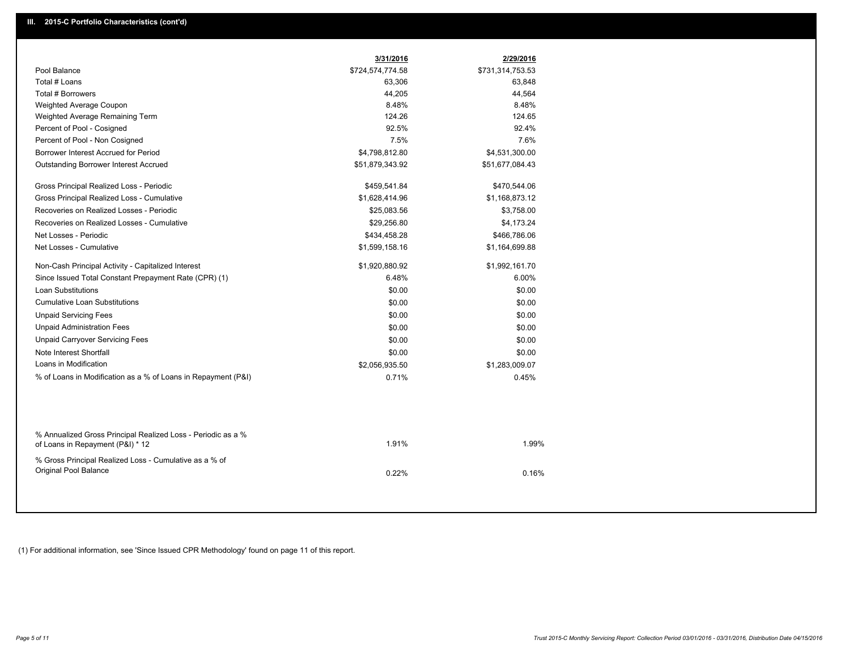|                                                                                                  | 3/31/2016        | 2/29/2016        |
|--------------------------------------------------------------------------------------------------|------------------|------------------|
| Pool Balance                                                                                     | \$724,574,774.58 | \$731,314,753.53 |
| Total # Loans                                                                                    | 63,306           | 63,848           |
| Total # Borrowers                                                                                | 44,205           | 44,564           |
| Weighted Average Coupon                                                                          | 8.48%            | 8.48%            |
| Weighted Average Remaining Term                                                                  | 124.26           | 124.65           |
| Percent of Pool - Cosigned                                                                       | 92.5%            | 92.4%            |
| Percent of Pool - Non Cosigned                                                                   | 7.5%             | 7.6%             |
| Borrower Interest Accrued for Period                                                             | \$4,798,812.80   | \$4,531,300.00   |
| Outstanding Borrower Interest Accrued                                                            | \$51,879,343.92  | \$51,677,084.43  |
| Gross Principal Realized Loss - Periodic                                                         | \$459,541.84     | \$470,544.06     |
| Gross Principal Realized Loss - Cumulative                                                       | \$1,628,414.96   | \$1,168,873.12   |
| Recoveries on Realized Losses - Periodic                                                         | \$25,083.56      | \$3,758.00       |
| Recoveries on Realized Losses - Cumulative                                                       | \$29,256.80      | \$4,173.24       |
| Net Losses - Periodic                                                                            | \$434,458.28     | \$466,786.06     |
| Net Losses - Cumulative                                                                          | \$1,599,158.16   | \$1,164,699.88   |
| Non-Cash Principal Activity - Capitalized Interest                                               | \$1,920,880.92   | \$1,992,161.70   |
| Since Issued Total Constant Prepayment Rate (CPR) (1)                                            | 6.48%            | 6.00%            |
| Loan Substitutions                                                                               | \$0.00           | \$0.00           |
| <b>Cumulative Loan Substitutions</b>                                                             | \$0.00           | \$0.00           |
| <b>Unpaid Servicing Fees</b>                                                                     | \$0.00           | \$0.00           |
| <b>Unpaid Administration Fees</b>                                                                | \$0.00           | \$0.00           |
| <b>Unpaid Carryover Servicing Fees</b>                                                           | \$0.00           | \$0.00           |
| Note Interest Shortfall                                                                          | \$0.00           | \$0.00           |
| Loans in Modification                                                                            | \$2,056,935.50   | \$1,283,009.07   |
| % of Loans in Modification as a % of Loans in Repayment (P&I)                                    | 0.71%            | 0.45%            |
|                                                                                                  |                  |                  |
| % Annualized Gross Principal Realized Loss - Periodic as a %<br>of Loans in Repayment (P&I) * 12 | 1.91%            | 1.99%            |
| % Gross Principal Realized Loss - Cumulative as a % of<br>Original Pool Balance                  | 0.22%            | 0.16%            |

(1) For additional information, see 'Since Issued CPR Methodology' found on page 11 of this report.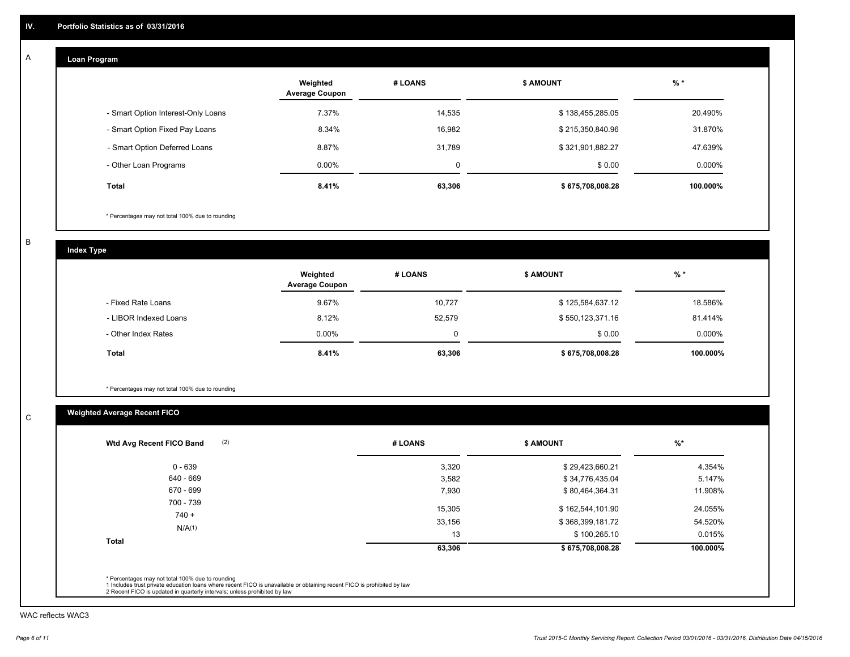#### **Loan Program**  A

|                                    | Weighted<br><b>Average Coupon</b> | # LOANS     | <b>\$ AMOUNT</b> | $%$ *     |
|------------------------------------|-----------------------------------|-------------|------------------|-----------|
| - Smart Option Interest-Only Loans | 7.37%                             | 14,535      | \$138,455,285.05 | 20.490%   |
| - Smart Option Fixed Pay Loans     | 8.34%                             | 16,982      | \$215,350,840.96 | 31.870%   |
| - Smart Option Deferred Loans      | 8.87%                             | 31.789      | \$321,901,882.27 | 47.639%   |
| - Other Loan Programs              | $0.00\%$                          | $\mathbf 0$ | \$0.00           | $0.000\%$ |
| <b>Total</b>                       | 8.41%                             | 63,306      | \$675,708,008.28 | 100.000%  |

\* Percentages may not total 100% due to rounding

B

C

**Index Type**

|                       | Weighted<br><b>Average Coupon</b> | # LOANS | <b>\$ AMOUNT</b> | $%$ *     |
|-----------------------|-----------------------------------|---------|------------------|-----------|
| - Fixed Rate Loans    | 9.67%                             | 10,727  | \$125,584,637.12 | 18.586%   |
| - LIBOR Indexed Loans | 8.12%                             | 52.579  | \$550,123,371.16 | 81.414%   |
| - Other Index Rates   | $0.00\%$                          | 0       | \$0.00           | $0.000\%$ |
| Total                 | 8.41%                             | 63,306  | \$675,708,008.28 | 100.000%  |

\* Percentages may not total 100% due to rounding

## **Weighted Average Recent FICO**

| (2)<br>Wtd Avg Recent FICO Band | # LOANS | <b>\$ AMOUNT</b> | $%$ *    |
|---------------------------------|---------|------------------|----------|
| $0 - 639$                       | 3,320   | \$29,423,660.21  | 4.354%   |
| 640 - 669                       | 3,582   | \$34,776,435.04  | 5.147%   |
| 670 - 699                       | 7,930   | \$80,464,364.31  | 11.908%  |
| 700 - 739                       | 15,305  | \$162,544,101.90 | 24.055%  |
| $740 +$                         | 33,156  | \$368,399,181.72 | 54.520%  |
| N/A(1)                          | 13      | \$100,265.10     | 0.015%   |
| Total                           | 63,306  | \$675,708,008.28 | 100.000% |

WAC reflects WAC3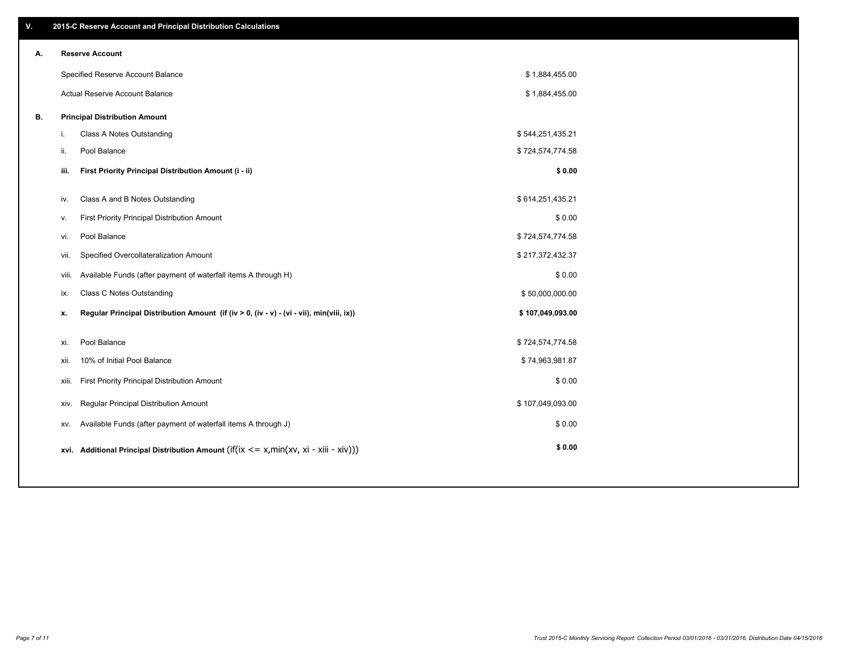| V. |       | 2015-C Reserve Account and Principal Distribution Calculations                             |                  |  |
|----|-------|--------------------------------------------------------------------------------------------|------------------|--|
| А. |       | <b>Reserve Account</b>                                                                     |                  |  |
|    |       | Specified Reserve Account Balance                                                          | \$1,884,455.00   |  |
|    |       | Actual Reserve Account Balance                                                             | \$1,884,455.00   |  |
| В. |       | <b>Principal Distribution Amount</b>                                                       |                  |  |
|    | i.    | Class A Notes Outstanding                                                                  | \$544,251,435.21 |  |
|    | ii.   | Pool Balance                                                                               | \$724,574,774.58 |  |
|    | iii.  | First Priority Principal Distribution Amount (i - ii)                                      | \$0.00           |  |
|    |       |                                                                                            |                  |  |
|    | iv.   | Class A and B Notes Outstanding                                                            | \$614,251,435.21 |  |
|    | v.    | First Priority Principal Distribution Amount                                               | \$0.00           |  |
|    | vi.   | Pool Balance                                                                               | \$724,574,774.58 |  |
|    | vii.  | Specified Overcollateralization Amount                                                     | \$217,372,432.37 |  |
|    | viii. | Available Funds (after payment of waterfall items A through H)                             | \$0.00           |  |
|    | ix.   | <b>Class C Notes Outstanding</b>                                                           | \$50,000,000.00  |  |
|    | x.    | Regular Principal Distribution Amount (if (iv > 0, (iv - v) - (vi - vii), min(viii, ix))   | \$107,049,093.00 |  |
|    |       |                                                                                            |                  |  |
|    | xi.   | Pool Balance                                                                               | \$724,574,774.58 |  |
|    | xii.  | 10% of Initial Pool Balance                                                                | \$74,963,981.87  |  |
|    | xiii. | First Priority Principal Distribution Amount                                               | \$0.00           |  |
|    | xiv.  | <b>Regular Principal Distribution Amount</b>                                               | \$107,049,093.00 |  |
|    | XV.   | Available Funds (after payment of waterfall items A through J)                             | \$0.00           |  |
|    |       | xvi. Additional Principal Distribution Amount (if(ix $\lt$ = x, min(xv, xi - xiii - xiv))) | \$0.00           |  |
|    |       |                                                                                            |                  |  |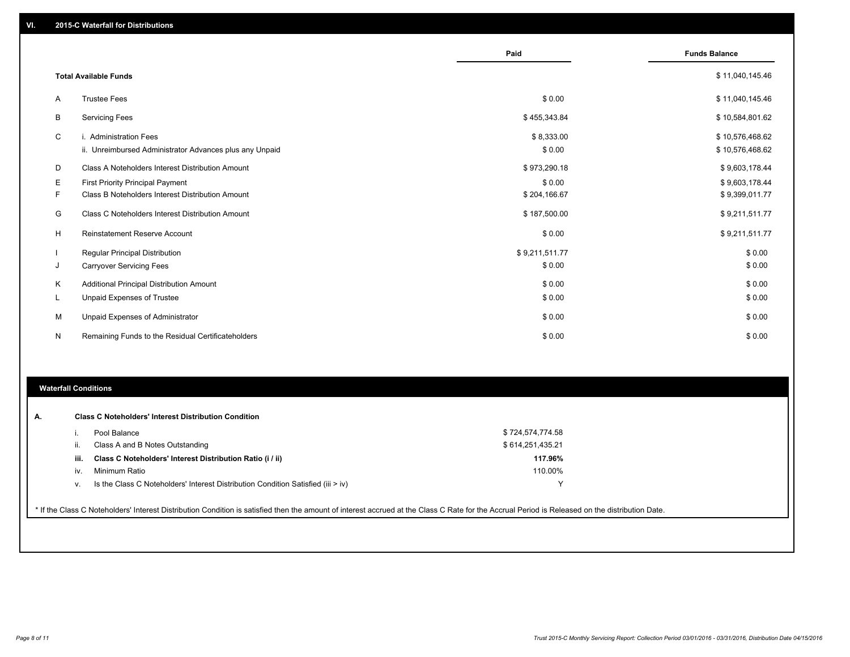|          |                                                         | Paid           | <b>Funds Balance</b> |
|----------|---------------------------------------------------------|----------------|----------------------|
|          | <b>Total Available Funds</b>                            |                | \$11,040,145.46      |
| A        | <b>Trustee Fees</b>                                     | \$0.00         | \$11,040,145.46      |
| B        | <b>Servicing Fees</b>                                   | \$455,343.84   | \$10,584,801.62      |
| C        | i. Administration Fees                                  | \$8,333.00     | \$10,576,468.62      |
|          | ii. Unreimbursed Administrator Advances plus any Unpaid | \$0.00         | \$10,576,468.62      |
| D        | Class A Noteholders Interest Distribution Amount        | \$973,290.18   | \$9,603,178.44       |
| Е        | <b>First Priority Principal Payment</b>                 | \$0.00         | \$9,603,178.44       |
| F        | Class B Noteholders Interest Distribution Amount        | \$204,166.67   | \$9,399,011.77       |
| G        | Class C Noteholders Interest Distribution Amount        | \$187,500.00   | \$9,211,511.77       |
| н        | <b>Reinstatement Reserve Account</b>                    | \$0.00         | \$9,211,511.77       |
|          | <b>Regular Principal Distribution</b>                   | \$9,211,511.77 | \$0.00               |
| J        | <b>Carryover Servicing Fees</b>                         | \$0.00         | \$0.00               |
| K        | Additional Principal Distribution Amount                | \$0.00         | \$0.00               |
| <b>L</b> | Unpaid Expenses of Trustee                              | \$0.00         | \$0.00               |
| М        | Unpaid Expenses of Administrator                        | \$0.00         | \$0.00               |
| N        | Remaining Funds to the Residual Certificateholders      | \$0.00         | \$0.00               |

#### **Waterfall Conditions**

|      | Pool Balance                                                                     | \$724,574,774.58 |  |
|------|----------------------------------------------------------------------------------|------------------|--|
|      | Class A and B Notes Outstanding                                                  | \$614,251,435.21 |  |
| iii. | Class C Noteholders' Interest Distribution Ratio (i / ii)                        | 117.96%          |  |
| IV.  | Minimum Ratio                                                                    | 110.00%          |  |
| v.   | Is the Class C Noteholders' Interest Distribution Condition Satisfied (iii > iv) |                  |  |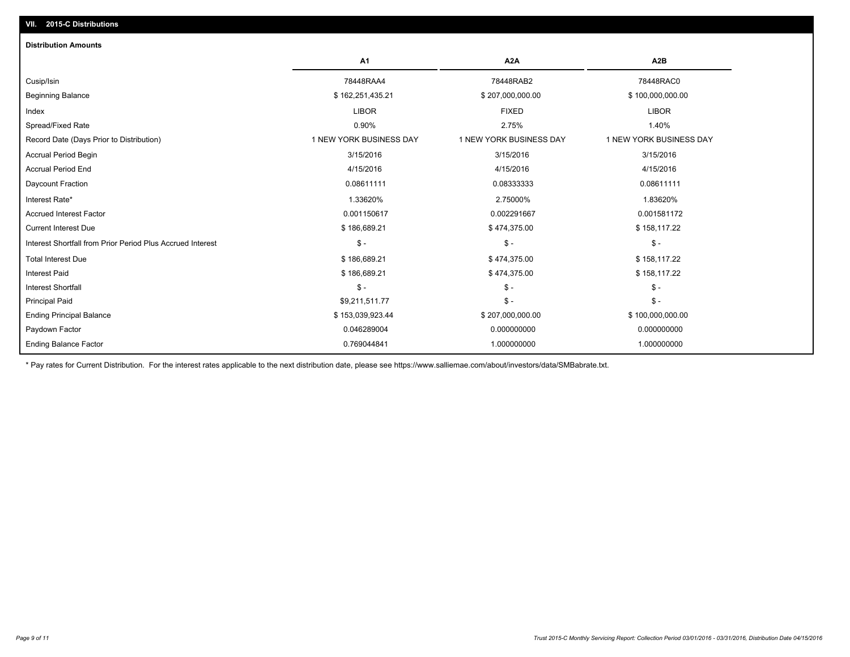| <b>Distribution Amounts</b>                                |                         |                         |                         |
|------------------------------------------------------------|-------------------------|-------------------------|-------------------------|
|                                                            | <b>A1</b>               | A <sub>2</sub> A        | A <sub>2</sub> B        |
| Cusip/Isin                                                 | 78448RAA4               | 78448RAB2               | 78448RAC0               |
| <b>Beginning Balance</b>                                   | \$162,251,435.21        | \$207,000,000.00        | \$100,000,000.00        |
| Index                                                      | <b>LIBOR</b>            | <b>FIXED</b>            | <b>LIBOR</b>            |
| Spread/Fixed Rate                                          | 0.90%                   | 2.75%                   | 1.40%                   |
| Record Date (Days Prior to Distribution)                   | 1 NEW YORK BUSINESS DAY | 1 NEW YORK BUSINESS DAY | 1 NEW YORK BUSINESS DAY |
| <b>Accrual Period Begin</b>                                | 3/15/2016               | 3/15/2016               | 3/15/2016               |
| <b>Accrual Period End</b>                                  | 4/15/2016               | 4/15/2016               | 4/15/2016               |
| Daycount Fraction                                          | 0.08611111              | 0.08333333              | 0.08611111              |
| Interest Rate*                                             | 1.33620%                | 2.75000%                | 1.83620%                |
| <b>Accrued Interest Factor</b>                             | 0.001150617             | 0.002291667             | 0.001581172             |
| <b>Current Interest Due</b>                                | \$186,689.21            | \$474,375.00            | \$158,117.22            |
| Interest Shortfall from Prior Period Plus Accrued Interest | $\mathsf{\$}$ -         | $\mathcal{S}$ -         | $\mathsf{\$}$ -         |
| <b>Total Interest Due</b>                                  | \$186,689.21            | \$474,375.00            | \$158,117.22            |
| <b>Interest Paid</b>                                       | \$186,689.21            | \$474,375.00            | \$158,117.22            |
| <b>Interest Shortfall</b>                                  | $S -$                   | $\mathsf{\$}$ -         | $\mathsf{\$}$ -         |
| <b>Principal Paid</b>                                      | \$9,211,511.77          | $\frac{2}{3}$ -         | $\mathsf{\$}$ -         |
| <b>Ending Principal Balance</b>                            | \$153,039,923.44        | \$207,000,000.00        | \$100,000,000.00        |
| Paydown Factor                                             | 0.046289004             | 0.000000000             | 0.000000000             |
| <b>Ending Balance Factor</b>                               | 0.769044841             | 1.000000000             | 1.000000000             |

\* Pay rates for Current Distribution. For the interest rates applicable to the next distribution date, please see https://www.salliemae.com/about/investors/data/SMBabrate.txt.

**VII. 2015-C Distributions**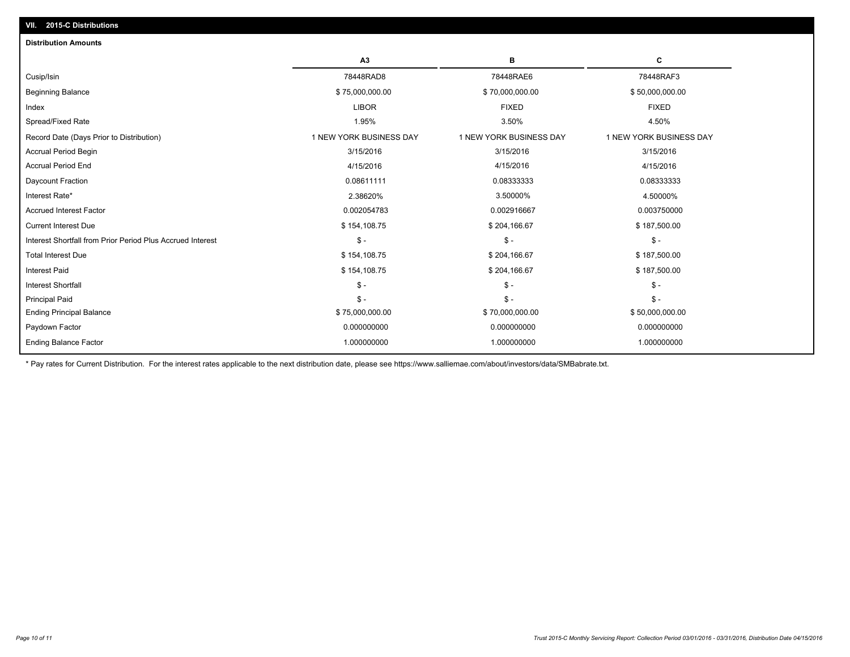| A3                      | в                       | с                       |
|-------------------------|-------------------------|-------------------------|
| 78448RAD8               | 78448RAE6               | 78448RAF3               |
| \$75,000,000.00         | \$70,000,000.00         | \$50,000,000.00         |
| <b>LIBOR</b>            | <b>FIXED</b>            | <b>FIXED</b>            |
| 1.95%                   | 3.50%                   | 4.50%                   |
| 1 NEW YORK BUSINESS DAY | 1 NEW YORK BUSINESS DAY | 1 NEW YORK BUSINESS DAY |
| 3/15/2016               | 3/15/2016               | 3/15/2016               |
| 4/15/2016               | 4/15/2016               | 4/15/2016               |
| 0.08611111              | 0.08333333              | 0.08333333              |
| 2.38620%                | 3.50000%                | 4.50000%                |
| 0.002054783             | 0.002916667             | 0.003750000             |
| \$154,108.75            | \$204,166.67            | \$187,500.00            |
| $\mathsf{\$}$ -         | $\mathsf{\$}$ -         | $\frac{2}{3}$ -         |
| \$154,108.75            | \$204,166.67            | \$187,500.00            |
| \$154,108.75            | \$204,166.67            | \$187,500.00            |
| $\mathsf{\$}$ -         | $\mathsf{\$}$ -         | $S -$                   |
| $\mathsf{\$}$ -         | $\mathsf{\$}$ -         | $S -$                   |
| \$75,000,000.00         | \$70,000,000.00         | \$50,000,000.00         |
| 0.000000000             | 0.000000000             | 0.000000000             |
| 1.000000000             | 1.000000000             | 1.000000000             |
|                         |                         |                         |

\* Pay rates for Current Distribution. For the interest rates applicable to the next distribution date, please see https://www.salliemae.com/about/investors/data/SMBabrate.txt.

**VII. 2015-C Distributions**